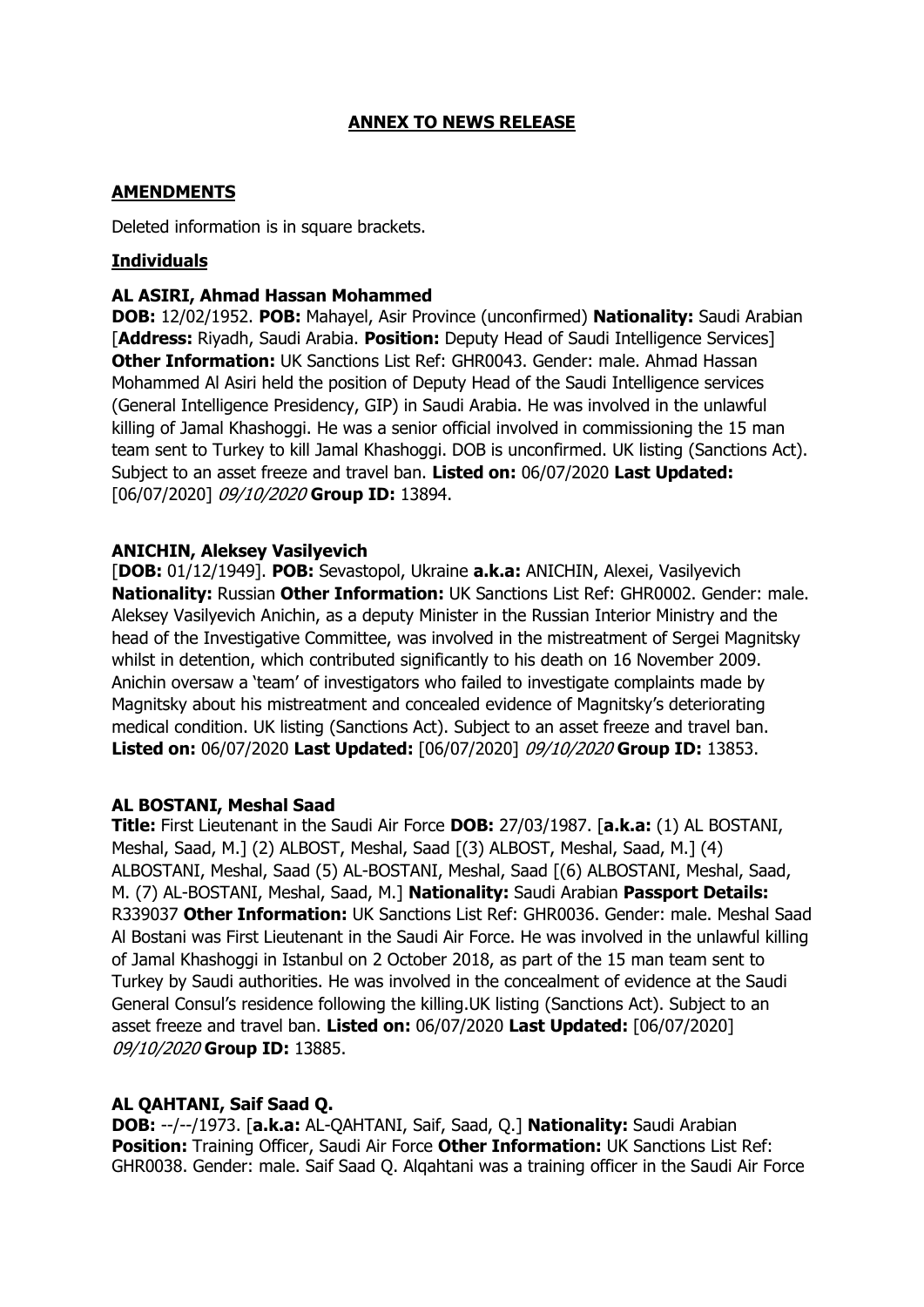# **ANNEX TO NEWS RELEASE**

## **AMENDMENTS**

Deleted information is in square brackets.

## **Individuals**

#### **AL ASIRI, Ahmad Hassan Mohammed**

**DOB:** 12/02/1952. **POB:** Mahayel, Asir Province (unconfirmed) **Nationality:** Saudi Arabian [**Address:** Riyadh, Saudi Arabia. **Position:** Deputy Head of Saudi Intelligence Services] **Other Information:** UK Sanctions List Ref: GHR0043. Gender: male. Ahmad Hassan Mohammed Al Asiri held the position of Deputy Head of the Saudi Intelligence services (General Intelligence Presidency, GIP) in Saudi Arabia. He was involved in the unlawful killing of Jamal Khashoggi. He was a senior official involved in commissioning the 15 man team sent to Turkey to kill Jamal Khashoggi. DOB is unconfirmed. UK listing (Sanctions Act). Subject to an asset freeze and travel ban. **Listed on:** 06/07/2020 **Last Updated:**  [06/07/2020] 09/10/2020 **Group ID:** 13894.

### **ANICHIN, Aleksey Vasilyevich**

[**DOB:** 01/12/1949]. **POB:** Sevastopol, Ukraine **a.k.a:** ANICHIN, Alexei, Vasilyevich **Nationality:** Russian **Other Information:** UK Sanctions List Ref: GHR0002. Gender: male. Aleksey Vasilyevich Anichin, as a deputy Minister in the Russian Interior Ministry and the head of the Investigative Committee, was involved in the mistreatment of Sergei Magnitsky whilst in detention, which contributed significantly to his death on 16 November 2009. Anichin oversaw a 'team' of investigators who failed to investigate complaints made by Magnitsky about his mistreatment and concealed evidence of Magnitsky's deteriorating medical condition. UK listing (Sanctions Act). Subject to an asset freeze and travel ban. **Listed on:** 06/07/2020 **Last Updated:** [06/07/2020] 09/10/2020 **Group ID:** 13853.

### **AL BOSTANI, Meshal Saad**

**Title:** First Lieutenant in the Saudi Air Force **DOB:** 27/03/1987. [**a.k.a:** (1) AL BOSTANI, Meshal, Saad, M.] (2) ALBOST, Meshal, Saad [(3) ALBOST, Meshal, Saad, M.] (4) ALBOSTANI, Meshal, Saad (5) AL-BOSTANI, Meshal, Saad [(6) ALBOSTANI, Meshal, Saad, M. (7) AL-BOSTANI, Meshal, Saad, M.] **Nationality:** Saudi Arabian **Passport Details:**  R339037 **Other Information:** UK Sanctions List Ref: GHR0036. Gender: male. Meshal Saad Al Bostani was First Lieutenant in the Saudi Air Force. He was involved in the unlawful killing of Jamal Khashoggi in Istanbul on 2 October 2018, as part of the 15 man team sent to Turkey by Saudi authorities. He was involved in the concealment of evidence at the Saudi General Consul's residence following the killing.UK listing (Sanctions Act). Subject to an asset freeze and travel ban. **Listed on:** 06/07/2020 **Last Updated:** [06/07/2020] 09/10/2020 **Group ID:** 13885.

### **AL QAHTANI, Saif Saad Q.**

**DOB:** --/--/1973. [**a.k.a:** AL-QAHTANI, Saif, Saad, Q.] **Nationality:** Saudi Arabian **Position:** Training Officer, Saudi Air Force **Other Information:** UK Sanctions List Ref: GHR0038. Gender: male. Saif Saad Q. Alqahtani was a training officer in the Saudi Air Force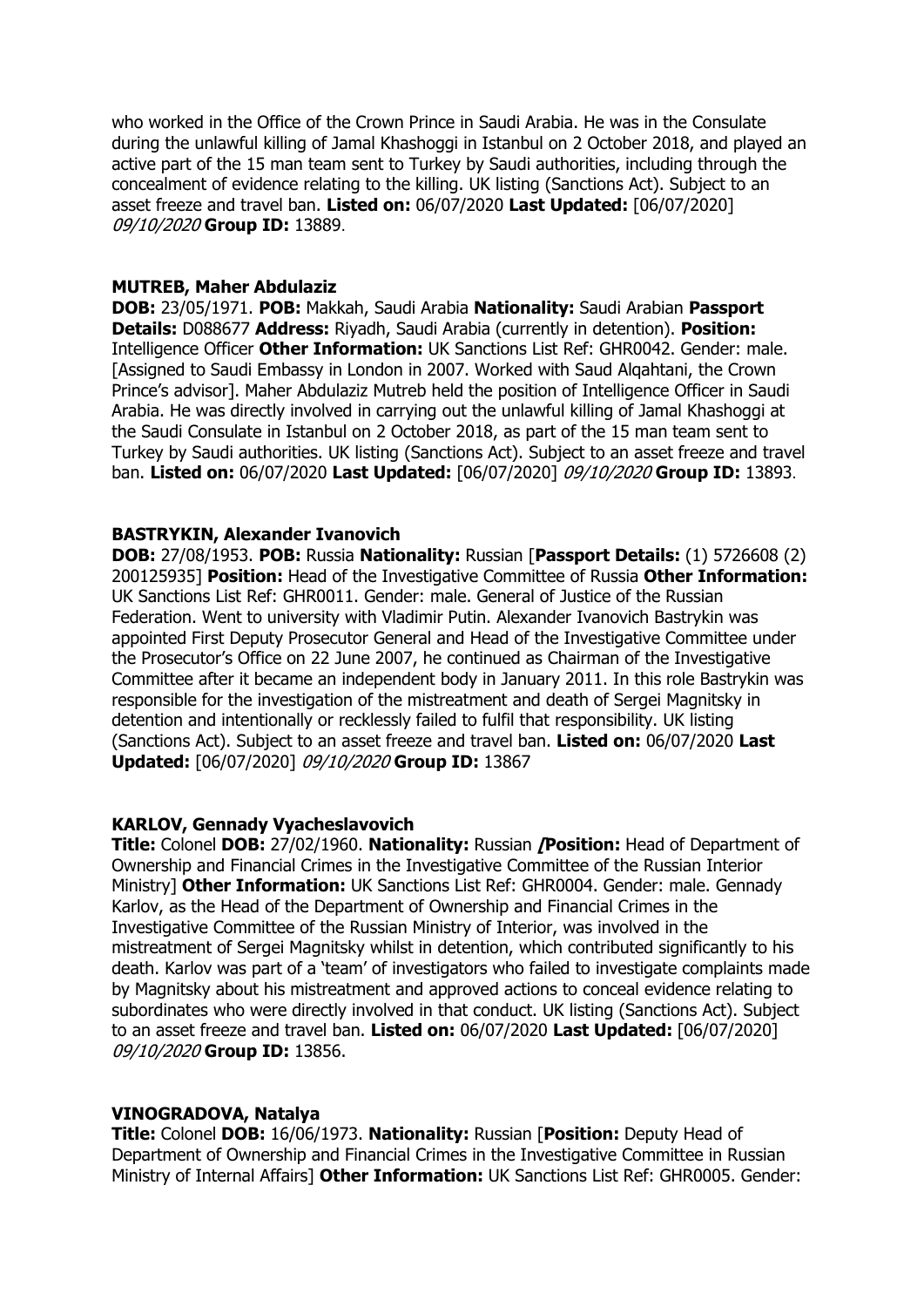who worked in the Office of the Crown Prince in Saudi Arabia. He was in the Consulate during the unlawful killing of Jamal Khashoggi in Istanbul on 2 October 2018, and played an active part of the 15 man team sent to Turkey by Saudi authorities, including through the concealment of evidence relating to the killing. UK listing (Sanctions Act). Subject to an asset freeze and travel ban. **Listed on:** 06/07/2020 **Last Updated:** [06/07/2020] 09/10/2020 **Group ID:** 13889.

#### **MUTREB, Maher Abdulaziz**

**DOB:** 23/05/1971. **POB:** Makkah, Saudi Arabia **Nationality:** Saudi Arabian **Passport Details:** D088677 **Address:** Riyadh, Saudi Arabia (currently in detention). **Position:**  Intelligence Officer **Other Information:** UK Sanctions List Ref: GHR0042. Gender: male. [Assigned to Saudi Embassy in London in 2007. Worked with Saud Alqahtani, the Crown Prince's advisor]. Maher Abdulaziz Mutreb held the position of Intelligence Officer in Saudi Arabia. He was directly involved in carrying out the unlawful killing of Jamal Khashoggi at the Saudi Consulate in Istanbul on 2 October 2018, as part of the 15 man team sent to Turkey by Saudi authorities. UK listing (Sanctions Act). Subject to an asset freeze and travel ban. **Listed on:** 06/07/2020 **Last Updated:** [06/07/2020] 09/10/2020 **Group ID:** 13893.

#### **BASTRYKIN, Alexander Ivanovich**

**DOB:** 27/08/1953. **POB:** Russia **Nationality:** Russian [**Passport Details:** (1) 5726608 (2) 200125935] **Position:** Head of the Investigative Committee of Russia **Other Information:**  UK Sanctions List Ref: GHR0011. Gender: male. General of Justice of the Russian Federation. Went to university with Vladimir Putin. Alexander Ivanovich Bastrykin was appointed First Deputy Prosecutor General and Head of the Investigative Committee under the Prosecutor's Office on 22 June 2007, he continued as Chairman of the Investigative Committee after it became an independent body in January 2011. In this role Bastrykin was responsible for the investigation of the mistreatment and death of Sergei Magnitsky in detention and intentionally or recklessly failed to fulfil that responsibility. UK listing (Sanctions Act). Subject to an asset freeze and travel ban. **Listed on:** 06/07/2020 **Last Updated:** [06/07/2020] 09/10/2020 **Group ID:** 13867

#### **KARLOV, Gennady Vyacheslavovich**

**Title:** Colonel **DOB:** 27/02/1960. **Nationality:** Russian **[Position:** Head of Department of Ownership and Financial Crimes in the Investigative Committee of the Russian Interior Ministry] **Other Information:** UK Sanctions List Ref: GHR0004. Gender: male. Gennady Karlov, as the Head of the Department of Ownership and Financial Crimes in the Investigative Committee of the Russian Ministry of Interior, was involved in the mistreatment of Sergei Magnitsky whilst in detention, which contributed significantly to his death. Karlov was part of a 'team' of investigators who failed to investigate complaints made by Magnitsky about his mistreatment and approved actions to conceal evidence relating to subordinates who were directly involved in that conduct. UK listing (Sanctions Act). Subject to an asset freeze and travel ban. **Listed on:** 06/07/2020 **Last Updated:** [06/07/2020] 09/10/2020 **Group ID:** 13856.

#### **VINOGRADOVA, Natalya**

**Title:** Colonel **DOB:** 16/06/1973. **Nationality:** Russian [**Position:** Deputy Head of Department of Ownership and Financial Crimes in the Investigative Committee in Russian Ministry of Internal Affairs] **Other Information:** UK Sanctions List Ref: GHR0005. Gender: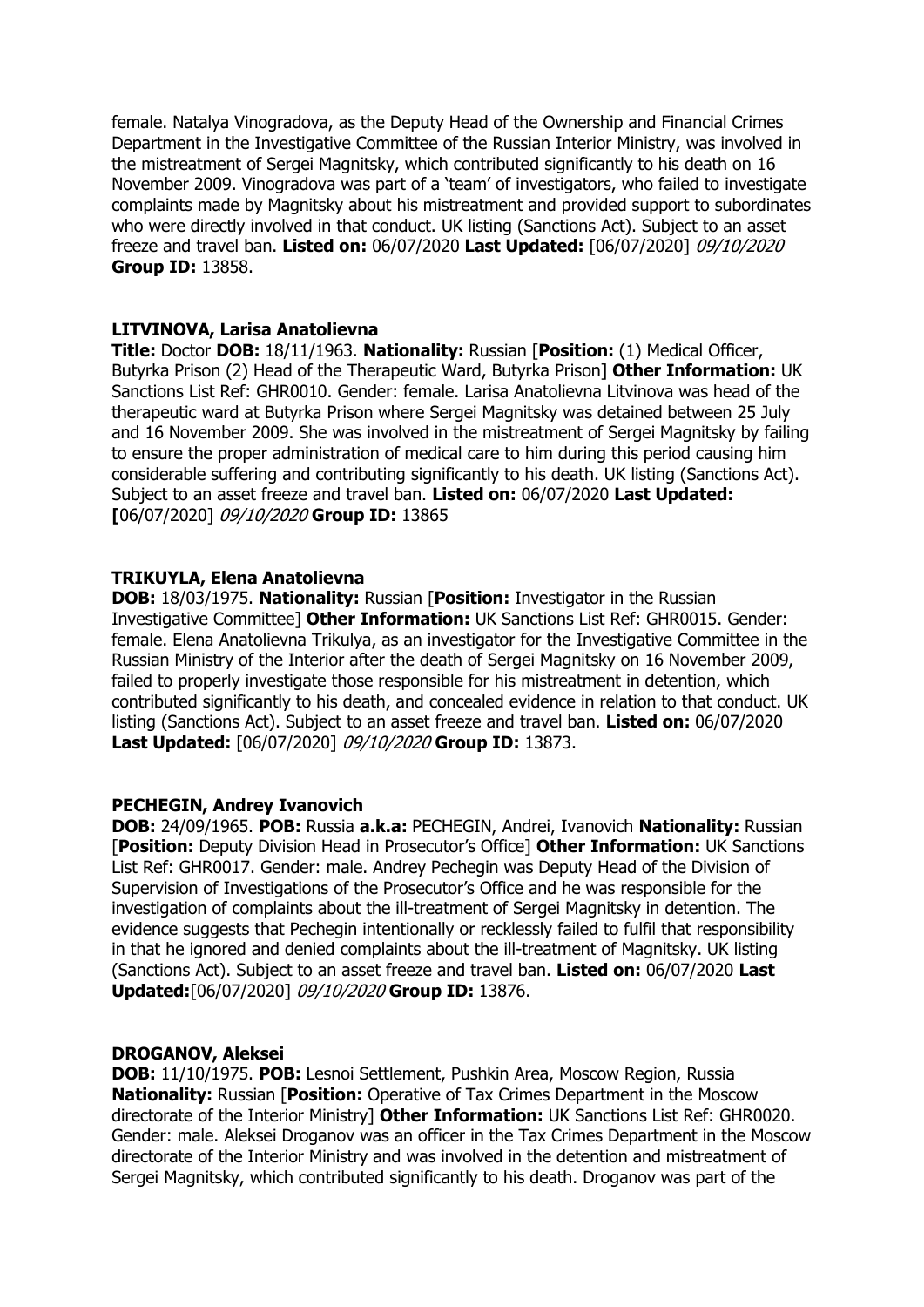female. Natalya Vinogradova, as the Deputy Head of the Ownership and Financial Crimes Department in the Investigative Committee of the Russian Interior Ministry, was involved in the mistreatment of Sergei Magnitsky, which contributed significantly to his death on 16 November 2009. Vinogradova was part of a 'team' of investigators, who failed to investigate complaints made by Magnitsky about his mistreatment and provided support to subordinates who were directly involved in that conduct. UK listing (Sanctions Act). Subject to an asset freeze and travel ban. **Listed on:** 06/07/2020 **Last Updated:** [06/07/2020] 09/10/2020 **Group ID:** 13858.

## **LITVINOVA, Larisa Anatolievna**

**Title:** Doctor **DOB:** 18/11/1963. **Nationality:** Russian [**Position:** (1) Medical Officer, Butyrka Prison (2) Head of the Therapeutic Ward, Butyrka Prison] **Other Information:** UK Sanctions List Ref: GHR0010. Gender: female. Larisa Anatolievna Litvinova was head of the therapeutic ward at Butyrka Prison where Sergei Magnitsky was detained between 25 July and 16 November 2009. She was involved in the mistreatment of Sergei Magnitsky by failing to ensure the proper administration of medical care to him during this period causing him considerable suffering and contributing significantly to his death. UK listing (Sanctions Act). Subject to an asset freeze and travel ban. **Listed on:** 06/07/2020 **Last Updated: [**06/07/2020] 09/10/2020 **Group ID:** 13865

## **TRIKUYLA, Elena Anatolievna**

**DOB:** 18/03/1975. **Nationality:** Russian [**Position:** Investigator in the Russian Investigative Committee] **Other Information:** UK Sanctions List Ref: GHR0015. Gender: female. Elena Anatolievna Trikulya, as an investigator for the Investigative Committee in the Russian Ministry of the Interior after the death of Sergei Magnitsky on 16 November 2009, failed to properly investigate those responsible for his mistreatment in detention, which contributed significantly to his death, and concealed evidence in relation to that conduct. UK listing (Sanctions Act). Subject to an asset freeze and travel ban. **Listed on:** 06/07/2020 **Last Updated:** [06/07/2020] 09/10/2020 **Group ID:** 13873.

# **PECHEGIN, Andrey Ivanovich**

**DOB:** 24/09/1965. **POB:** Russia **a.k.a:** PECHEGIN, Andrei, Ivanovich **Nationality:** Russian [**Position:** Deputy Division Head in Prosecutor's Office] **Other Information:** UK Sanctions List Ref: GHR0017. Gender: male. Andrey Pechegin was Deputy Head of the Division of Supervision of Investigations of the Prosecutor's Office and he was responsible for the investigation of complaints about the ill-treatment of Sergei Magnitsky in detention. The evidence suggests that Pechegin intentionally or recklessly failed to fulfil that responsibility in that he ignored and denied complaints about the ill-treatment of Magnitsky. UK listing (Sanctions Act). Subject to an asset freeze and travel ban. **Listed on:** 06/07/2020 **Last Updated:**[06/07/2020] 09/10/2020 **Group ID:** 13876.

### **DROGANOV, Aleksei**

**DOB:** 11/10/1975. **POB:** Lesnoi Settlement, Pushkin Area, Moscow Region, Russia **Nationality:** Russian [**Position:** Operative of Tax Crimes Department in the Moscow directorate of the Interior Ministry] **Other Information:** UK Sanctions List Ref: GHR0020. Gender: male. Aleksei Droganov was an officer in the Tax Crimes Department in the Moscow directorate of the Interior Ministry and was involved in the detention and mistreatment of Sergei Magnitsky, which contributed significantly to his death. Droganov was part of the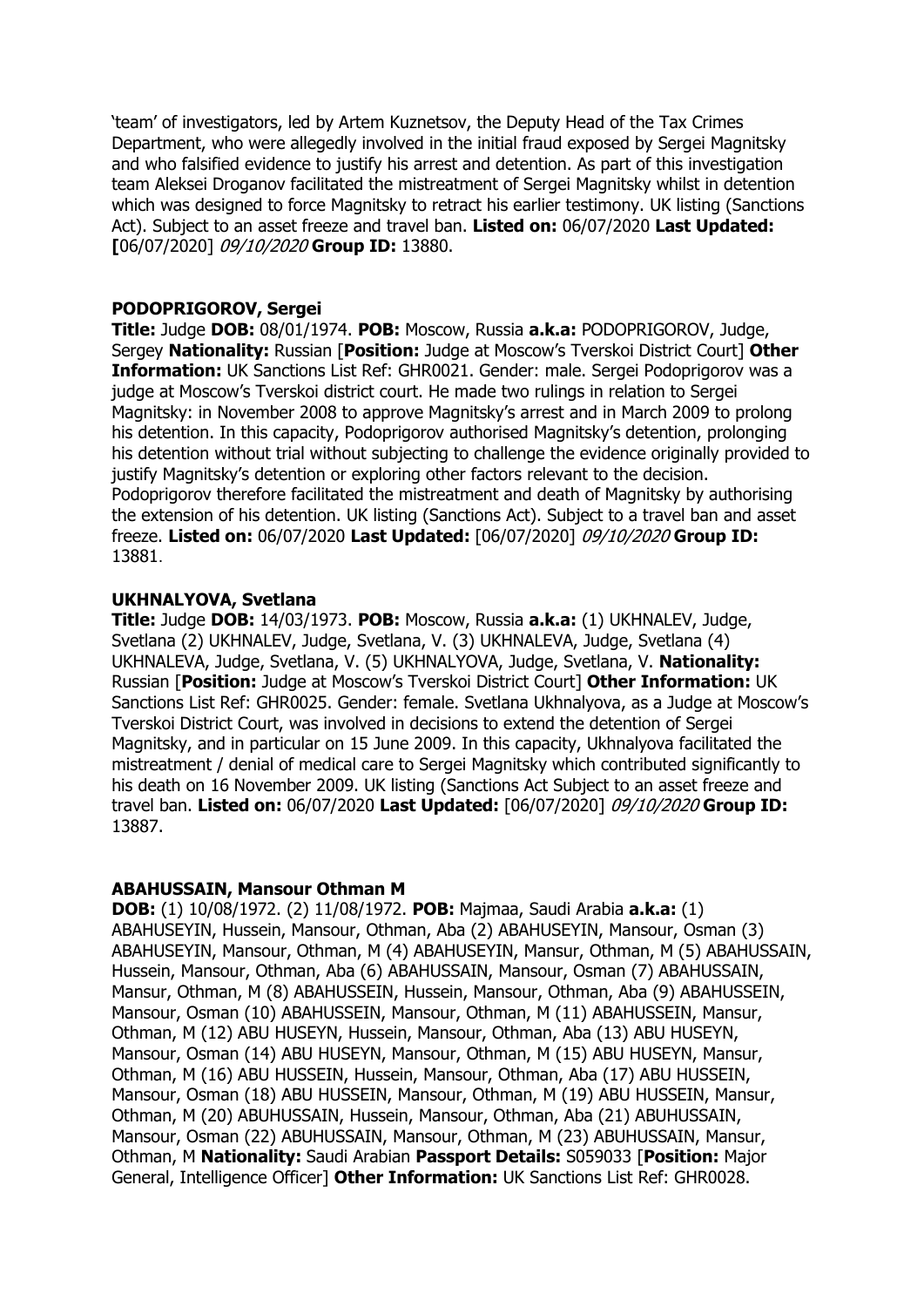'team' of investigators, led by Artem Kuznetsov, the Deputy Head of the Tax Crimes Department, who were allegedly involved in the initial fraud exposed by Sergei Magnitsky and who falsified evidence to justify his arrest and detention. As part of this investigation team Aleksei Droganov facilitated the mistreatment of Sergei Magnitsky whilst in detention which was designed to force Magnitsky to retract his earlier testimony. UK listing (Sanctions Act). Subject to an asset freeze and travel ban. **Listed on:** 06/07/2020 **Last Updated: [**06/07/2020] 09/10/2020 **Group ID:** 13880.

## **PODOPRIGOROV, Sergei**

**Title:** Judge **DOB:** 08/01/1974. **POB:** Moscow, Russia **a.k.a:** PODOPRIGOROV, Judge, Sergey **Nationality:** Russian [**Position:** Judge at Moscow's Tverskoi District Court] **Other Information:** UK Sanctions List Ref: GHR0021. Gender: male. Sergei Podoprigorov was a judge at Moscow's Tverskoi district court. He made two rulings in relation to Sergei Magnitsky: in November 2008 to approve Magnitsky's arrest and in March 2009 to prolong his detention. In this capacity, Podoprigorov authorised Magnitsky's detention, prolonging his detention without trial without subjecting to challenge the evidence originally provided to justify Magnitsky's detention or exploring other factors relevant to the decision. Podoprigorov therefore facilitated the mistreatment and death of Magnitsky by authorising the extension of his detention. UK listing (Sanctions Act). Subject to a travel ban and asset freeze. **Listed on:** 06/07/2020 **Last Updated:** [06/07/2020] 09/10/2020 **Group ID:**  13881.

## **UKHNALYOVA, Svetlana**

**Title:** Judge **DOB:** 14/03/1973. **POB:** Moscow, Russia **a.k.a:** (1) UKHNALEV, Judge, Svetlana (2) UKHNALEV, Judge, Svetlana, V. (3) UKHNALEVA, Judge, Svetlana (4) UKHNALEVA, Judge, Svetlana, V. (5) UKHNALYOVA, Judge, Svetlana, V. **Nationality:**  Russian [**Position:** Judge at Moscow's Tverskoi District Court] **Other Information:** UK Sanctions List Ref: GHR0025. Gender: female. Svetlana Ukhnalyova, as a Judge at Moscow's Tverskoi District Court, was involved in decisions to extend the detention of Sergei Magnitsky, and in particular on 15 June 2009. In this capacity, Ukhnalyova facilitated the mistreatment / denial of medical care to Sergei Magnitsky which contributed significantly to his death on 16 November 2009. UK listing (Sanctions Act Subject to an asset freeze and travel ban. **Listed on:** 06/07/2020 **Last Updated:** [06/07/2020] 09/10/2020 **Group ID:**  13887.

### **ABAHUSSAIN, Mansour Othman M**

**DOB:** (1) 10/08/1972. (2) 11/08/1972. **POB:** Majmaa, Saudi Arabia **a.k.a:** (1) ABAHUSEYIN, Hussein, Mansour, Othman, Aba (2) ABAHUSEYIN, Mansour, Osman (3) ABAHUSEYIN, Mansour, Othman, M (4) ABAHUSEYIN, Mansur, Othman, M (5) ABAHUSSAIN, Hussein, Mansour, Othman, Aba (6) ABAHUSSAIN, Mansour, Osman (7) ABAHUSSAIN, Mansur, Othman, M (8) ABAHUSSEIN, Hussein, Mansour, Othman, Aba (9) ABAHUSSEIN, Mansour, Osman (10) ABAHUSSEIN, Mansour, Othman, M (11) ABAHUSSEIN, Mansur, Othman, M (12) ABU HUSEYN, Hussein, Mansour, Othman, Aba (13) ABU HUSEYN, Mansour, Osman (14) ABU HUSEYN, Mansour, Othman, M (15) ABU HUSEYN, Mansur, Othman, M (16) ABU HUSSEIN, Hussein, Mansour, Othman, Aba (17) ABU HUSSEIN, Mansour, Osman (18) ABU HUSSEIN, Mansour, Othman, M (19) ABU HUSSEIN, Mansur, Othman, M (20) ABUHUSSAIN, Hussein, Mansour, Othman, Aba (21) ABUHUSSAIN, Mansour, Osman (22) ABUHUSSAIN, Mansour, Othman, M (23) ABUHUSSAIN, Mansur, Othman, M **Nationality:** Saudi Arabian **Passport Details:** S059033 [**Position:** Major General, Intelligence Officer] **Other Information:** UK Sanctions List Ref: GHR0028.